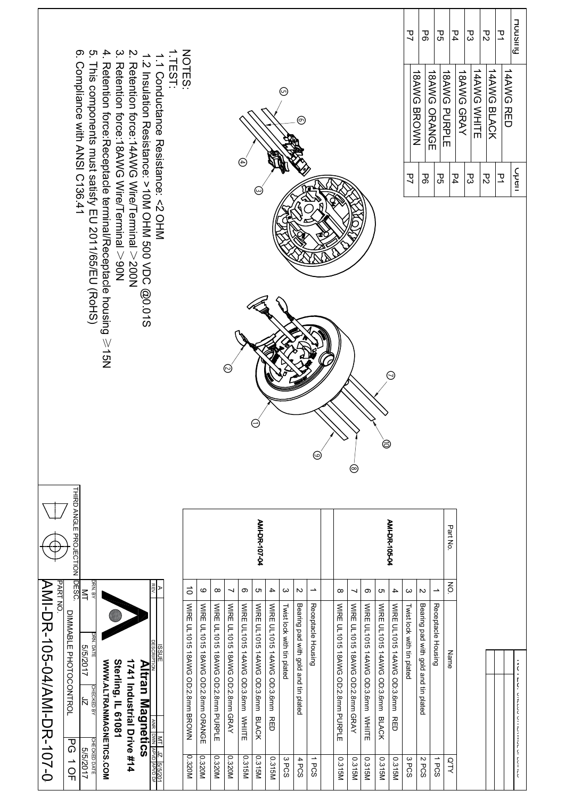| Retertion force:Receptacle terminal/Receptacle housing $\geqslant$ 15N<br>⊚<br>$_{\odot}$<br>$\odot$<br>e<br>⊜<br>⊚<br>THIRD ANGLE PROJECTION<br>AMI-DR-107-04<br>AMI-DR-105-04<br>Part No.<br><b>IBSC</b><br><b>PART NO</b><br>$\xi$<br>RN. BY<br>$\vec{o}$<br>C<br>$\boldsymbol{\omega}$<br>ၜ<br>$\blacktriangle$<br>$\rightarrow$<br>6<br>$\infty$<br>$\sim$<br>→<br>$\overline{\phantom{a}}$<br>$\infty$<br>$\circ$<br>c<br>$\boldsymbol{\omega}$<br>$\sim$<br>J<br>$\blacktriangle$<br>$\leq$<br>WIRE UL1015 14AWG OD:3.6mm BLACK<br>Receptacle Housing<br><b>VNRE UL1015 18AV/G OD:2: 8EHH BROVN</b><br><b>WIRE UL1015 18AWG OD:2.8mm</b><br>WIRE UL1015 18AWG OD:2.8mm GRAY<br>WIRE UL1015 14AWG OD:3.6mm WHIITE<br>WIRE UL1015 14AWG OD:3.6mm RED<br>Receptacle Housing<br>WIRE UL1015 14AWG OD:3.6mm WHITE<br>WIRE UL1015 14AWG OD:3.6mm BLACK<br>Bearing pad with gold and tin plated<br><b>WIRE UL1015 18AWG OD:2.8mm PURPLE</b><br>Bearing pad with gold and tin plated<br><b>NIRE UL1015 18AWG OD:2.8mm GRAY</b><br>WIRE UL1015 14AWG OD:3.6mm RED<br>Twist lock with tin plated<br>WIRE UL1015 18AWG OD:2.8mm PURPLE<br>Twist lock with tin plated<br>DIMMABLE PHOTOCONTROL<br>JRN. DATE<br>5/5/2017<br>Name<br>WWW.ALTRANMAGNETICS.COM<br><b>Sterling, IL 61081</b><br>1741 Industrial Drive #14<br><u>Altran Magnetics</u><br>CHECKED BY<br>J<br><b>ANR DWN APVF</b><br>$\overline{\sigma}$<br><b>CHECKED DATE</b><br>5/5/2017<br>0.320M<br>0.315M<br>0.315M<br>0.320M<br>0.320M<br>0.320M<br>0.315M<br>3PCS<br>0.315M<br>0.315M<br>0.315M<br>0.315M<br>2 PCS<br>1PCS<br><b>OTY</b><br>$\frac{1}{2}$<br>4 PCS<br>0.315M<br>3PCS<br>1PCS | 4.<br>တ<br>ო.<br>Compliance with ANSI C136.41<br>This components must satisfy EU 2011/65/EU (RoHS) |  | /AMI-DK-105-04/AMI-DK-107-0 |
|---------------------------------------------------------------------------------------------------------------------------------------------------------------------------------------------------------------------------------------------------------------------------------------------------------------------------------------------------------------------------------------------------------------------------------------------------------------------------------------------------------------------------------------------------------------------------------------------------------------------------------------------------------------------------------------------------------------------------------------------------------------------------------------------------------------------------------------------------------------------------------------------------------------------------------------------------------------------------------------------------------------------------------------------------------------------------------------------------------------------------------------------------------------------------------------------------------------------------------------------------------------------------------------------------------------------------------------------------------------------------------------------------------------------------------------------------------------------------------------------------------------------------------------------------------------------------------------------------------------------------------------------------------|----------------------------------------------------------------------------------------------------|--|-----------------------------|
|                                                                                                                                                                                                                                                                                                                                                                                                                                                                                                                                                                                                                                                                                                                                                                                                                                                                                                                                                                                                                                                                                                                                                                                                                                                                                                                                                                                                                                                                                                                                                                                                                                                         |                                                                                                    |  |                             |
|                                                                                                                                                                                                                                                                                                                                                                                                                                                                                                                                                                                                                                                                                                                                                                                                                                                                                                                                                                                                                                                                                                                                                                                                                                                                                                                                                                                                                                                                                                                                                                                                                                                         |                                                                                                    |  |                             |
|                                                                                                                                                                                                                                                                                                                                                                                                                                                                                                                                                                                                                                                                                                                                                                                                                                                                                                                                                                                                                                                                                                                                                                                                                                                                                                                                                                                                                                                                                                                                                                                                                                                         |                                                                                                    |  |                             |
|                                                                                                                                                                                                                                                                                                                                                                                                                                                                                                                                                                                                                                                                                                                                                                                                                                                                                                                                                                                                                                                                                                                                                                                                                                                                                                                                                                                                                                                                                                                                                                                                                                                         | 3. Retention force:18AWG Wire/Terminal > 90N<br>Ņ.                                                 |  |                             |
|                                                                                                                                                                                                                                                                                                                                                                                                                                                                                                                                                                                                                                                                                                                                                                                                                                                                                                                                                                                                                                                                                                                                                                                                                                                                                                                                                                                                                                                                                                                                                                                                                                                         | 1.1 Conductance Resistance: <2 OHM                                                                 |  |                             |
|                                                                                                                                                                                                                                                                                                                                                                                                                                                                                                                                                                                                                                                                                                                                                                                                                                                                                                                                                                                                                                                                                                                                                                                                                                                                                                                                                                                                                                                                                                                                                                                                                                                         | 1. TEST:                                                                                           |  |                             |
|                                                                                                                                                                                                                                                                                                                                                                                                                                                                                                                                                                                                                                                                                                                                                                                                                                                                                                                                                                                                                                                                                                                                                                                                                                                                                                                                                                                                                                                                                                                                                                                                                                                         | NOTES:                                                                                             |  |                             |
|                                                                                                                                                                                                                                                                                                                                                                                                                                                                                                                                                                                                                                                                                                                                                                                                                                                                                                                                                                                                                                                                                                                                                                                                                                                                                                                                                                                                                                                                                                                                                                                                                                                         |                                                                                                    |  |                             |
|                                                                                                                                                                                                                                                                                                                                                                                                                                                                                                                                                                                                                                                                                                                                                                                                                                                                                                                                                                                                                                                                                                                                                                                                                                                                                                                                                                                                                                                                                                                                                                                                                                                         |                                                                                                    |  |                             |
|                                                                                                                                                                                                                                                                                                                                                                                                                                                                                                                                                                                                                                                                                                                                                                                                                                                                                                                                                                                                                                                                                                                                                                                                                                                                                                                                                                                                                                                                                                                                                                                                                                                         |                                                                                                    |  |                             |
|                                                                                                                                                                                                                                                                                                                                                                                                                                                                                                                                                                                                                                                                                                                                                                                                                                                                                                                                                                                                                                                                                                                                                                                                                                                                                                                                                                                                                                                                                                                                                                                                                                                         | $_{\oplus}$                                                                                        |  |                             |
|                                                                                                                                                                                                                                                                                                                                                                                                                                                                                                                                                                                                                                                                                                                                                                                                                                                                                                                                                                                                                                                                                                                                                                                                                                                                                                                                                                                                                                                                                                                                                                                                                                                         |                                                                                                    |  |                             |
|                                                                                                                                                                                                                                                                                                                                                                                                                                                                                                                                                                                                                                                                                                                                                                                                                                                                                                                                                                                                                                                                                                                                                                                                                                                                                                                                                                                                                                                                                                                                                                                                                                                         |                                                                                                    |  |                             |
|                                                                                                                                                                                                                                                                                                                                                                                                                                                                                                                                                                                                                                                                                                                                                                                                                                                                                                                                                                                                                                                                                                                                                                                                                                                                                                                                                                                                                                                                                                                                                                                                                                                         | ⊚                                                                                                  |  |                             |
|                                                                                                                                                                                                                                                                                                                                                                                                                                                                                                                                                                                                                                                                                                                                                                                                                                                                                                                                                                                                                                                                                                                                                                                                                                                                                                                                                                                                                                                                                                                                                                                                                                                         | ල                                                                                                  |  |                             |
|                                                                                                                                                                                                                                                                                                                                                                                                                                                                                                                                                                                                                                                                                                                                                                                                                                                                                                                                                                                                                                                                                                                                                                                                                                                                                                                                                                                                                                                                                                                                                                                                                                                         |                                                                                                    |  |                             |
|                                                                                                                                                                                                                                                                                                                                                                                                                                                                                                                                                                                                                                                                                                                                                                                                                                                                                                                                                                                                                                                                                                                                                                                                                                                                                                                                                                                                                                                                                                                                                                                                                                                         |                                                                                                    |  |                             |
|                                                                                                                                                                                                                                                                                                                                                                                                                                                                                                                                                                                                                                                                                                                                                                                                                                                                                                                                                                                                                                                                                                                                                                                                                                                                                                                                                                                                                                                                                                                                                                                                                                                         |                                                                                                    |  |                             |
|                                                                                                                                                                                                                                                                                                                                                                                                                                                                                                                                                                                                                                                                                                                                                                                                                                                                                                                                                                                                                                                                                                                                                                                                                                                                                                                                                                                                                                                                                                                                                                                                                                                         |                                                                                                    |  |                             |
|                                                                                                                                                                                                                                                                                                                                                                                                                                                                                                                                                                                                                                                                                                                                                                                                                                                                                                                                                                                                                                                                                                                                                                                                                                                                                                                                                                                                                                                                                                                                                                                                                                                         |                                                                                                    |  |                             |
|                                                                                                                                                                                                                                                                                                                                                                                                                                                                                                                                                                                                                                                                                                                                                                                                                                                                                                                                                                                                                                                                                                                                                                                                                                                                                                                                                                                                                                                                                                                                                                                                                                                         |                                                                                                    |  |                             |
|                                                                                                                                                                                                                                                                                                                                                                                                                                                                                                                                                                                                                                                                                                                                                                                                                                                                                                                                                                                                                                                                                                                                                                                                                                                                                                                                                                                                                                                                                                                                                                                                                                                         | 그<br><u>ק</u>                                                                                      |  |                             |
|                                                                                                                                                                                                                                                                                                                                                                                                                                                                                                                                                                                                                                                                                                                                                                                                                                                                                                                                                                                                                                                                                                                                                                                                                                                                                                                                                                                                                                                                                                                                                                                                                                                         | P6<br>18AWG<br>BROWN<br>P6                                                                         |  |                             |
|                                                                                                                                                                                                                                                                                                                                                                                                                                                                                                                                                                                                                                                                                                                                                                                                                                                                                                                                                                                                                                                                                                                                                                                                                                                                                                                                                                                                                                                                                                                                                                                                                                                         | PS<br>18AWG ORANGE<br>PS                                                                           |  |                             |
|                                                                                                                                                                                                                                                                                                                                                                                                                                                                                                                                                                                                                                                                                                                                                                                                                                                                                                                                                                                                                                                                                                                                                                                                                                                                                                                                                                                                                                                                                                                                                                                                                                                         | 18<br>NNG<br>D<br>INPLE                                                                            |  |                             |
|                                                                                                                                                                                                                                                                                                                                                                                                                                                                                                                                                                                                                                                                                                                                                                                                                                                                                                                                                                                                                                                                                                                                                                                                                                                                                                                                                                                                                                                                                                                                                                                                                                                         | P4<br>18AWG GRAY<br>P4                                                                             |  |                             |
|                                                                                                                                                                                                                                                                                                                                                                                                                                                                                                                                                                                                                                                                                                                                                                                                                                                                                                                                                                                                                                                                                                                                                                                                                                                                                                                                                                                                                                                                                                                                                                                                                                                         | ΡЗ<br><b>14AWG WHITE</b><br>P3                                                                     |  |                             |
|                                                                                                                                                                                                                                                                                                                                                                                                                                                                                                                                                                                                                                                                                                                                                                                                                                                                                                                                                                                                                                                                                                                                                                                                                                                                                                                                                                                                                                                                                                                                                                                                                                                         | P2<br><b><i>IANNG BLACK</i></b><br>し<br>24                                                         |  |                             |
|                                                                                                                                                                                                                                                                                                                                                                                                                                                                                                                                                                                                                                                                                                                                                                                                                                                                                                                                                                                                                                                                                                                                                                                                                                                                                                                                                                                                                                                                                                                                                                                                                                                         | 꼬<br><b>14AWG RED</b><br>꼬                                                                         |  |                             |
| תהו וומה ומ המונגניהו ובממה ממה ימדו מנו                                                                                                                                                                                                                                                                                                                                                                                                                                                                                                                                                                                                                                                                                                                                                                                                                                                                                                                                                                                                                                                                                                                                                                                                                                                                                                                                                                                                                                                                                                                                                                                                                | MIICNOL<br>$rac{C}{10}$                                                                            |  |                             |
|                                                                                                                                                                                                                                                                                                                                                                                                                                                                                                                                                                                                                                                                                                                                                                                                                                                                                                                                                                                                                                                                                                                                                                                                                                                                                                                                                                                                                                                                                                                                                                                                                                                         |                                                                                                    |  |                             |